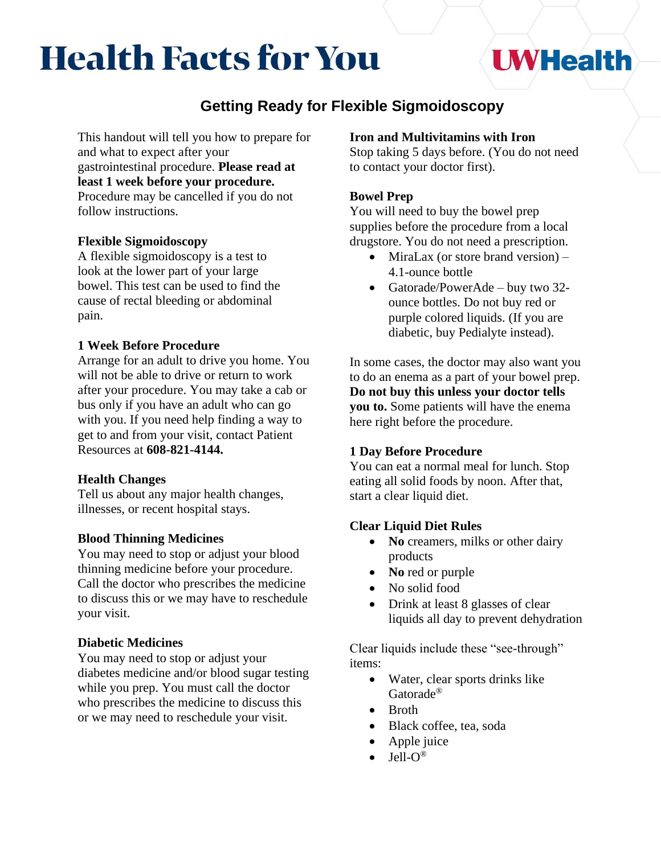# **Health Facts for You**

## **UWHealth**

### **Getting Ready for Flexible Sigmoidoscopy**

This handout will tell you how to prepare for and what to expect after your gastrointestinal procedure. **Please read at least 1 week before your procedure.**  Procedure may be cancelled if you do not follow instructions.

#### **Flexible Sigmoidoscopy**

A flexible sigmoidoscopy is a test to look at the lower part of your large bowel. This test can be used to find the cause of rectal bleeding or abdominal pain.

#### **1 Week Before Procedure**

Arrange for an adult to drive you home. You will not be able to drive or return to work after your procedure. You may take a cab or bus only if you have an adult who can go with you. If you need help finding a way to get to and from your visit, contact Patient Resources at **608-821-4144.** 

#### **Health Changes**

Tell us about any major health changes, illnesses, or recent hospital stays.

#### **Blood Thinning Medicines**

You may need to stop or adjust your blood thinning medicine before your procedure. Call the doctor who prescribes the medicine to discuss this or we may have to reschedule your visit.

#### **Diabetic Medicines**

You may need to stop or adjust your diabetes medicine and/or blood sugar testing while you prep. You must call the doctor who prescribes the medicine to discuss this or we may need to reschedule your visit.

#### **Iron and Multivitamins with Iron**

Stop taking 5 days before. (You do not need to contact your doctor first).

#### **Bowel Prep**

You will need to buy the bowel prep supplies before the procedure from a local drugstore. You do not need a prescription.

- MiraLax (or store brand version) 4.1-ounce bottle
- Gatorade/PowerAde buy two 32ounce bottles. Do not buy red or purple colored liquids. (If you are diabetic, buy Pedialyte instead).

In some cases, the doctor may also want you to do an enema as a part of your bowel prep. **Do not buy this unless your doctor tells you to.** Some patients will have the enema here right before the procedure.

#### **1 Day Before Procedure**

You can eat a normal meal for lunch. Stop eating all solid foods by noon. After that, start a clear liquid diet.

#### **Clear Liquid Diet Rules**

- **No** creamers, milks or other dairy products
- **No** red or purple
- No solid food
- Drink at least 8 glasses of clear liquids all day to prevent dehydration

Clear liquids include these "see-through" items:

- Water, clear sports drinks like Gatorade®
- Broth
- Black coffee, tea, soda
- Apple juice
- $\bullet$  Jell-O<sup>®</sup>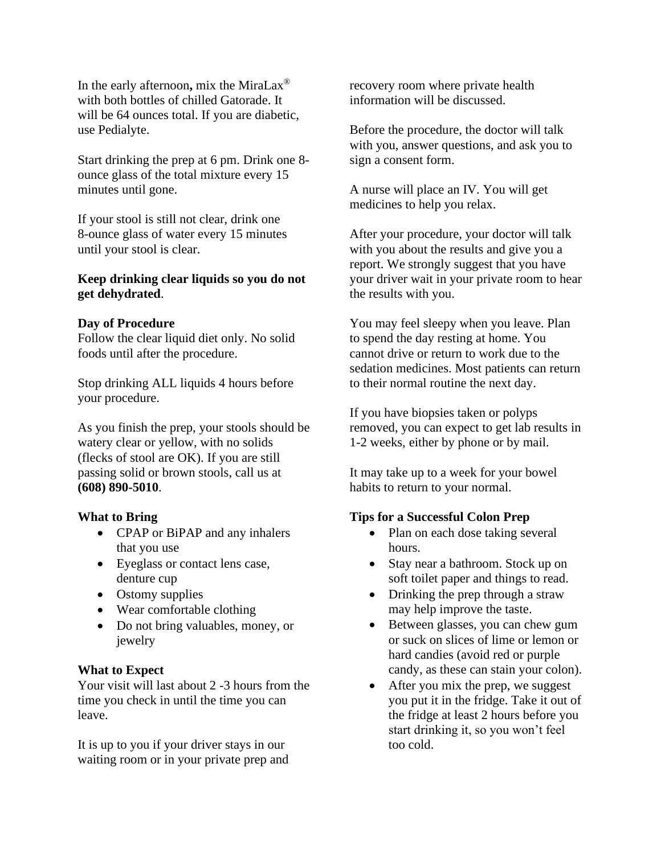In the early afternoon**,** mix the MiraLax® with both bottles of chilled Gatorade. It will be 64 ounces total. If you are diabetic, use Pedialyte.

Start drinking the prep at 6 pm. Drink one 8 ounce glass of the total mixture every 15 minutes until gone.

If your stool is still not clear, drink one 8-ounce glass of water every 15 minutes until your stool is clear.

#### **Keep drinking clear liquids so you do not get dehydrated**.

#### **Day of Procedure**

Follow the clear liquid diet only. No solid foods until after the procedure.

Stop drinking ALL liquids 4 hours before your procedure.

As you finish the prep, your stools should be watery clear or yellow, with no solids (flecks of stool are OK). If you are still passing solid or brown stools, call us at **(608) 890-5010**.

#### **What to Bring**

- CPAP or BiPAP and any inhalers that you use
- Eyeglass or contact lens case, denture cup
- Ostomy supplies
- Wear comfortable clothing
- Do not bring valuables, money, or jewelry

#### **What to Expect**

Your visit will last about 2 -3 hours from the time you check in until the time you can leave.

It is up to you if your driver stays in our waiting room or in your private prep and recovery room where private health information will be discussed.

Before the procedure, the doctor will talk with you, answer questions, and ask you to sign a consent form.

A nurse will place an IV. You will get medicines to help you relax.

After your procedure, your doctor will talk with you about the results and give you a report. We strongly suggest that you have your driver wait in your private room to hear the results with you.

You may feel sleepy when you leave. Plan to spend the day resting at home. You cannot drive or return to work due to the sedation medicines. Most patients can return to their normal routine the next day.

If you have biopsies taken or polyps removed, you can expect to get lab results in 1-2 weeks, either by phone or by mail.

It may take up to a week for your bowel habits to return to your normal.

#### **Tips for a Successful Colon Prep**

- Plan on each dose taking several hours.
- Stay near a bathroom. Stock up on soft toilet paper and things to read.
- Drinking the prep through a straw may help improve the taste.
- Between glasses, you can chew gum or suck on slices of lime or lemon or hard candies (avoid red or purple candy, as these can stain your colon).
- After you mix the prep, we suggest you put it in the fridge. Take it out of the fridge at least 2 hours before you start drinking it, so you won't feel too cold.